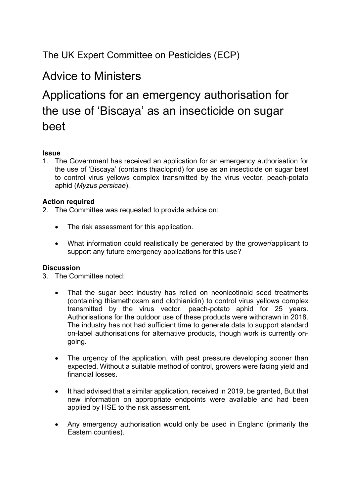### The UK Expert Committee on Pesticides (ECP)

## Advice to Ministers

# Applications for an emergency authorisation for the use of 'Biscaya' as an insecticide on sugar beet

#### **Issue**

1. The Government has received an application for an emergency authorisation for the use of 'Biscaya' (contains thiacloprid) for use as an insecticide on sugar beet to control virus yellows complex transmitted by the virus vector, peach-potato aphid (*Myzus persicae*).

#### **Action required**

- 2. The Committee was requested to provide advice on:
	- The risk assessment for this application.
	- What information could realistically be generated by the grower/applicant to support any future emergency applications for this use?

#### **Discussion**

- 3. The Committee noted:
	- That the sugar beet industry has relied on neonicotinoid seed treatments (containing thiamethoxam and clothianidin) to control virus yellows complex transmitted by the virus vector, peach-potato aphid for 25 years. Authorisations for the outdoor use of these products were withdrawn in 2018. The industry has not had sufficient time to generate data to support standard on-label authorisations for alternative products, though work is currently ongoing.
	- The urgency of the application, with pest pressure developing sooner than expected. Without a suitable method of control, growers were facing yield and financial losses.
	- It had advised that a similar application, received in 2019, be granted, But that new information on appropriate endpoints were available and had been applied by HSE to the risk assessment.
	- Any emergency authorisation would only be used in England (primarily the Eastern counties).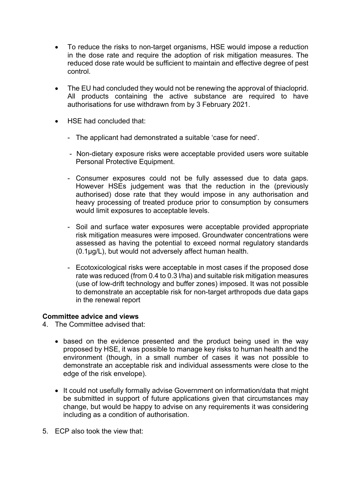- To reduce the risks to non-target organisms, HSE would impose a reduction in the dose rate and require the adoption of risk mitigation measures. The reduced dose rate would be sufficient to maintain and effective degree of pest control.
- The EU had concluded they would not be renewing the approval of thiacloprid. All products containing the active substance are required to have authorisations for use withdrawn from by 3 February 2021.
- HSE had concluded that:
	- The applicant had demonstrated a suitable 'case for need'.
	- Non-dietary exposure risks were acceptable provided users wore suitable Personal Protective Equipment.
	- Consumer exposures could not be fully assessed due to data gaps. However HSEs judgement was that the reduction in the (previously authorised) dose rate that they would impose in any authorisation and heavy processing of treated produce prior to consumption by consumers would limit exposures to acceptable levels.
	- Soil and surface water exposures were acceptable provided appropriate risk mitigation measures were imposed. Groundwater concentrations were assessed as having the potential to exceed normal regulatory standards (0.1μg/L), but would not adversely affect human health.
	- Ecotoxicological risks were acceptable in most cases if the proposed dose rate was reduced (from 0.4 to 0.3 l/ha) and suitable risk mitigation measures (use of low-drift technology and buffer zones) imposed. It was not possible to demonstrate an acceptable risk for non-target arthropods due data gaps in the renewal report

#### **Committee advice and views**

4. The Committee advised that:

- based on the evidence presented and the product being used in the way proposed by HSE, it was possible to manage key risks to human health and the environment (though, in a small number of cases it was not possible to demonstrate an acceptable risk and individual assessments were close to the edge of the risk envelope).
- It could not usefully formally advise Government on information/data that might be submitted in support of future applications given that circumstances may change, but would be happy to advise on any requirements it was considering including as a condition of authorisation.
- 5. ECP also took the view that: